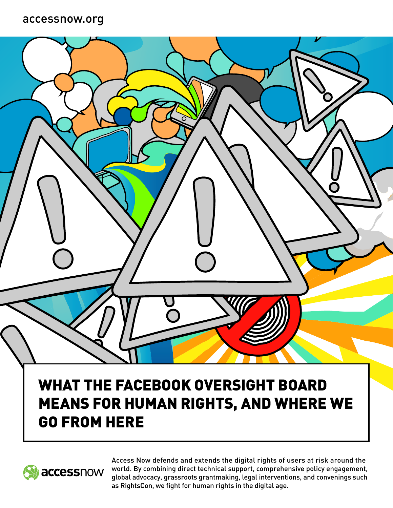#### accessnow.org

## WHAT THE FACEBOOK OVERSIGHT BOARD MEANS FOR HUMAN RIGHTS, AND WHERE WE GO FROM HERE



Access Now defends and extends the digital rights of users at risk around the world. By combining direct technical support, comprehensive policy engagement, global advocacy, grassroots grantmaking, legal interventions, and convenings such as RightsCon, we fight for human rights in the digital age.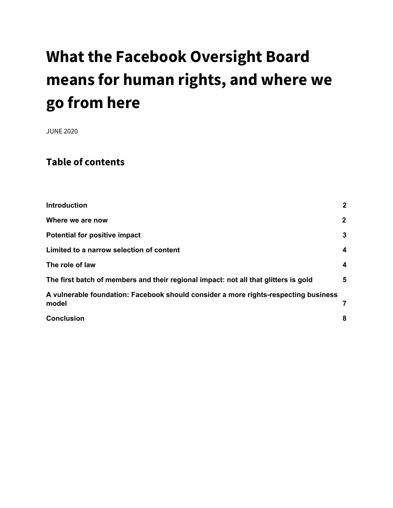# **What the Facebook Oversight Board means for human rights, and where we go from here**

JUNE 2020

#### **Table of contents**

| <b>Introduction</b>                                                                          | $\mathbf{2}$            |
|----------------------------------------------------------------------------------------------|-------------------------|
| Where we are now                                                                             | $\mathbf{2}$            |
| <b>Potential for positive impact</b>                                                         | $\mathbf{3}$            |
| Limited to a narrow selection of content                                                     | $\overline{\mathbf{4}}$ |
| The role of law                                                                              | $\overline{\mathbf{4}}$ |
| The first batch of members and their regional impact: not all that glitters is gold          | 5                       |
| A vulnerable foundation: Facebook should consider a more rights-respecting business<br>model |                         |
| <b>Conclusion</b>                                                                            | 8                       |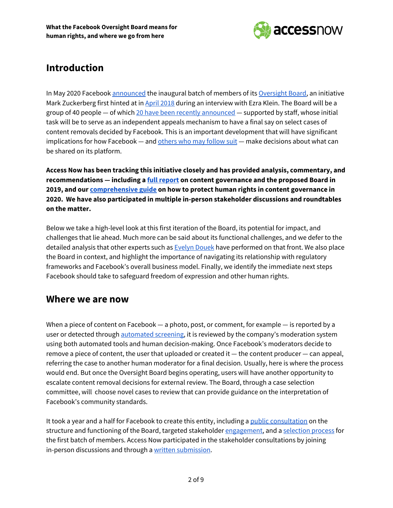

#### **Introduction**

In May 2020 Facebook [announced](https://about.fb.com/news/2020/05/welcoming-the-oversight-board/) the inaugural batch of members of its [Oversight](https://www.oversightboard.com/) Board, an initiative Mark Zuckerberg first hinted at in April [2018](https://www.vox.com/2018/4/2/17185052/mark-zuckerberg-facebook-interview-fake-news-bots-cambridge) during an interview with Ezra Klein. The Board will be a group of 40 people - of which 20 have been recently [announced](https://www.oversightboard.com/meet-the-board/) - supported by staff, whose initial task will be to serve as an independent appeals mechanism to have a final say on select cases of content removals decided by Facebook. This is an important development that will have significant implications for how Facebook — and [others](https://www.protocol.com/facebook-oversight-board-rules-of-the-internet) who may follow suit — make decisions about what can be shared on its platform.

**Access Now has been tracking this initiative closely and has provided analysis, commentary, and recommendations — including a full [report](https://www.accessnow.org/accessnow-recommendations-on-content-moderation-and-facebook-oversight-board) on content governance and the proposed Board in 2019, and our [comprehensive](https://www.accessnow.org/guide-how-to-protect-human-rights-in-content-governance/) guide on how to protect human rights in content governance in 2020. We have also participated in multiple in-person stakeholder discussions and roundtables on the matter.**

Below we take a high-level look at this first iteration of the Board, its potential for impact, and challenges that lie ahead. Much more can be said about its functional challenges, and we defer to the detailed analysis that other experts such as **[Evelyn](https://lawreviewblog.uchicago.edu/2020/05/11/fb-oversight-board-edouek/#_ftnref4) Douek** have performed on that front. We also place the Board in context, and highlight the importance of navigating its relationship with regulatory frameworks and Facebook's overall business model. Finally, we identify the immediate next steps Facebook should take to safeguard freedom of expression and other human rights.

#### <span id="page-2-0"></span>**Where we are now**

When a piece of content on Facebook — a photo, post, or comment, for example — is reported by a user or detected through [automated](https://www.newamerica.org/oti/reports/everything-moderation-analysis-how-internet-platforms-are-using-artificial-intelligence-moderate-user-generated-content/case-study-facebook/) screening, it is reviewed by the company's moderation system using both automated tools and human decision-making. Once Facebook's moderators decide to remove a piece of content, the user that uploaded or created it — the content producer — can appeal, referring the case to another human moderator for a final decision. Usually, here is where the process would end. But once the Oversight Board begins operating, users will have another opportunity to escalate content removal decisions for external review. The Board, through a case selection committee, will choose novel cases to review that can provide guidance on the interpretation of Facebook's community standards.

It took a year and a half for Facebook to create this entity, including a public [consultation](https://about.fb.com/news/2019/04/input-on-an-oversight-board/) on the structure and functioning of the Board, targeted stakeholder [engagement,](https://about.fb.com/news/2019/06/global-feedback-on-oversight-board/) and a [selection](https://about.fb.com/news/2019/09/oversight-board-membership/) process for the first batch of members. Access Now participated in the stakeholder consultations by joining in-person discussions and through a written [submission.](https://www.accessnow.org/cms/assets/uploads/2019/05/AccessNow-Preliminary-Recommendations-On-Content-Moderation-and-Facebooks-Planned-Oversight-Board.pdf)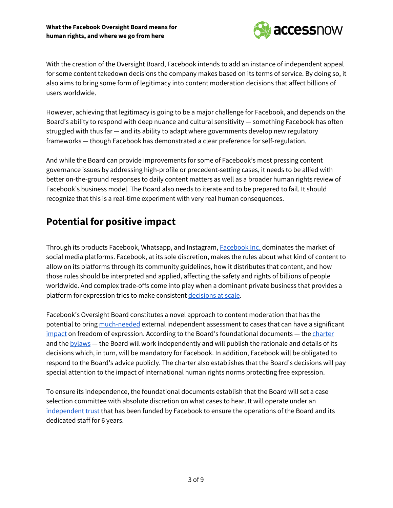

With the creation of the Oversight Board, Facebook intends to add an instance of independent appeal for some content takedown decisions the company makes based on its terms of service. By doing so, it also aims to bring some form of legitimacy into content moderation decisions that affect billions of users worldwide.

However, achieving that legitimacy is going to be a major challenge for Facebook, and depends on the Board's ability to respond with deep nuance and cultural sensitivity — something Facebook has often struggled with thus far — and its ability to adapt where governments develop new regulatory frameworks — though Facebook has demonstrated a clear preference for self-regulation.

And while the Board can provide improvements for some of Facebook's most pressing content governance issues by addressing high-profile or precedent-setting cases, it needs to be allied with better on-the-ground responses to daily content matters as well as a broader human rights review of Facebook's business model. The Board also needs to iterate and to be prepared to fail. It should recognize that this is a real-time experiment with very real human consequences.

#### <span id="page-3-0"></span>**Potential for positive impact**

Through its products Facebook, Whatsapp, and Instagram, [Facebook](https://en.wikipedia.org/wiki/Facebook,_Inc.) Inc. dominates the market of social media platforms. Facebook, at its sole discretion, makes the rules about what kind of content to allow on its platforms through its community guidelines, how it distributes that content, and how those rules should be interpreted and applied, affecting the safety and rights of billions of people worldwide. And complex trade-offs come into play when a dominant private business that provides a platform for expression tries to make consistent [decisions](https://www.accessnow.org/guide-how-to-protect-human-rights-in-content-governance/) at scale.

Facebook's Oversight Board constitutes a novel approach to content moderation that has the potential to bring [much-needed](https://www.nytimes.com/2020/05/06/opinion/facebook-oversight-board.html) external independent assessment to cases that can have a significant [impact](https://www.nytimes.com/2016/09/10/technology/facebook-vietnam-war-photo-nudity.html) on freedom of expression. According to the Board's foundational documents — the [charter](https://www.oversightboard.com/governance/) and the  $b$ <sub>y</sub> laws — the Board will work independently and will publish the rationale and details of its decisions which, in turn, will be mandatory for Facebook. In addition, Facebook will be obligated to respond to the Board's advice publicly. The charter also establishes that the Board's decisions will pay special attention to the impact of international human rights norms protecting free expression.

To ensure its independence, the foundational documents establish that the Board will set a case selection committee with absolute discretion on what cases to hear. It will operate under an [independent](https://about.fb.com/news/2019/12/oversight-board-update/) trust that has been funded by Facebook to ensure the operations of the Board and its dedicated staff for 6 years.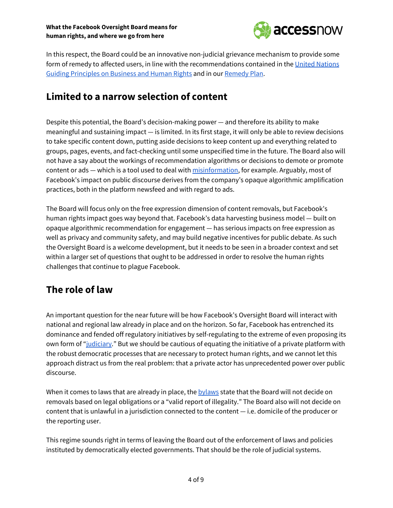

In this respect, the Board could be an innovative non-judicial grievance mechanism to provide some form of remedy to affected users, in line with the recommendations contained in the United [Nations](https://www.ohchr.org/documents/publications/guidingprinciplesbusinesshr_en.pdf) Guiding [Principles](https://www.ohchr.org/documents/publications/guidingprinciplesbusinesshr_en.pdf) on Business and Human Rights and in our [Remedy](https://www.accessnow.org/access-delivers-remedy-plan-for-telcos-to-redress-human-rights-harms/) Plan.

#### <span id="page-4-0"></span>**Limited to a narrow selection of content**

Despite this potential, the Board's decision-making power — and therefore its ability to make meaningful and sustaining impact — is limited. In its first stage, it will only be able to review decisions to take specific content down, putting aside decisions to keep content up and everything related to groups, pages, events, and fact-checking until some unspecified time in the future. The Board also will not have a say about the workings of recommendation algorithms or decisions to demote or promote content or ads — which is a tool used to deal with [misinformation](https://www.facebook.com/business/help/182222309230722), for example. Arguably, most of Facebook's impact on public discourse derives from the company's opaque algorithmic amplification practices, both in the platform newsfeed and with regard to ads.

The Board will focus only on the free expression dimension of content removals, but Facebook's human rights impact goes way beyond that. Facebook's data harvesting business model — built on opaque algorithmic recommendation for engagement — has serious impacts on free expression as well as privacy and community safety, and may build negative incentives for public debate. As such the Oversight Board is a welcome development, but it needs to be seen in a broader context and set within a larger set of questions that ought to be addressed in order to resolve the human rights challenges that continue to plague Facebook.

#### <span id="page-4-1"></span>**The role of law**

An important question for the near future will be how Facebook's Oversight Board will interact with national and regional law already in place and on the horizon. So far, Facebook has entrenched its dominance and fended off regulatory initiatives by self-regulating to the extreme of even proposing its own form of ["judiciary](https://www.justsecurity.org/70035/the-republic-of-facebook/)." But we should be cautious of equating the initiative of a private platform with the robust democratic processes that are necessary to protect human rights, and we cannot let this approach distract us from the real problem: that a private actor has unprecedented power over public discourse.

When it comes to laws that are already in place, the [bylaws](https://scontent.fcor5-1.fna.fbcdn.net/v/t39.8562-6/93836051_660280367850128_4544191419119566848_n.pdf?_nc_cat=109&_nc_sid=ae5e01&_nc_ohc=YrXgKsPJg20AX8voH3l&_nc_ht=scontent.fcor5-1.fna&oh=e581aee4c7fb4581139f703dab65f5a4&oe=5EEA84FF) state that the Board will not decide on removals based on legal obligations or a "valid report of illegality." The Board also will not decide on content that is unlawful in a jurisdiction connected to the content — i.e. domicile of the producer or the reporting user.

This regime sounds right in terms of leaving the Board out of the enforcement of laws and policies instituted by democratically elected governments. That should be the role of judicial systems.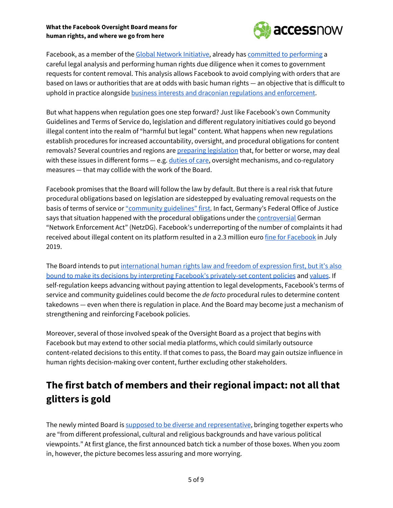#### **What the Facebook Oversight Board means for human rights, and where we go from here**



Facebook, as a member of the Global Network [Initiative](https://globalnetworkinitiative.org/), already has committed to [performing](https://transparency.facebook.com/content-restrictions) a careful legal analysis and performing human rights due diligence when it comes to government requests for content removal. This analysis allows Facebook to avoid complying with orders that are based on laws or authorities that are at odds with basic human rights — an objective that is difficult to uphold in practice alongside business interests and draconian regulations and [enforcement](https://techcrunch.com/2020/04/21/facebook-agrees-to-restrict-anti-government-content-in-vietnam-after-months-of-throttling/).

But what happens when regulation goes one step forward? Just like Facebook's own Community Guidelines and Terms of Service do, legislation and different regulatory initiatives could go beyond illegal content into the realm of "harmful but legal" content. What happens when new regulations establish procedures for increased accountability, oversight, and procedural obligations for content removals? Several countries and regions are preparing [legislation](https://www.accessnow.org/content-regulation-whats-the-online-harm/) that, for better or worse, may deal with these issues in different forms - e.g. [duties](https://www.gov.uk/government/consultations/online-harms-white-paper) of care, oversight mechanisms, and co-regulatory measures — that may collide with the work of the Board.

Facebook promises that the Board will follow the law by default. But there is a real risk that future procedural obligations based on legislation are sidestepped by evaluating removal requests on the basis of terms of service or ["community](https://transparency.facebook.com/content-restrictions) guidelines" first. In fact, Germany's Federal Office of Justice says that situation happened with the procedural obligations under the **[controversial](https://edri.org/reckless-social-media-law-threatens-freedom-expression-germany/)** German "Network Enforcement Act" (NetzDG). Facebook's underreporting of the number of complaints it had received about illegal content on its platform resulted in a 2.3 million euro fine for [Facebook](https://www.dw.com/en/germany-fines-facebook-for-underreporting-hate-speech-complaints/a-49447820) in July 2019.

The Board intends to put [international](https://www.justsecurity.org/70234/facebooks-oversight-board-a-meaningful-turn-towards-international-human-rights-standards/) human rights law and freedom of expression first, but it's also bound to make its decisions by interpreting Facebook's [privately-set](https://www.justsecurity.org/70234/facebooks-oversight-board-a-meaningful-turn-towards-international-human-rights-standards/) content policies and [values](https://about.fb.com/news/2019/09/updating-the-values-that-inform-our-community-standards/). If self-regulation keeps advancing without paying attention to legal developments, Facebook's terms of service and community guidelines could become the *de facto* procedural rules to determine content takedowns — even when there is regulation in place. And the Board may become just a mechanism of strengthening and reinforcing Facebook policies.

Moreover, several of those involved speak of the Oversight Board as a project that begins with Facebook but may extend to other social media platforms, which could similarly outsource content-related decisions to this entity. If that comes to pass, the Board may gain outsize influence in human rights decision-making over content, further excluding other stakeholders.

## <span id="page-5-0"></span>**The first batch of members and their regional impact: not all that glitters is gold**

The newly minted Board is supposed to be diverse and [representative,](https://www.nytimes.com/2020/05/06/opinion/facebook-oversight-board.html) bringing together experts who are "from different professional, cultural and religious backgrounds and have various political viewpoints." At first glance, the first announced batch tick a number of those boxes. When you zoom in, however, the picture becomes less assuring and more worrying.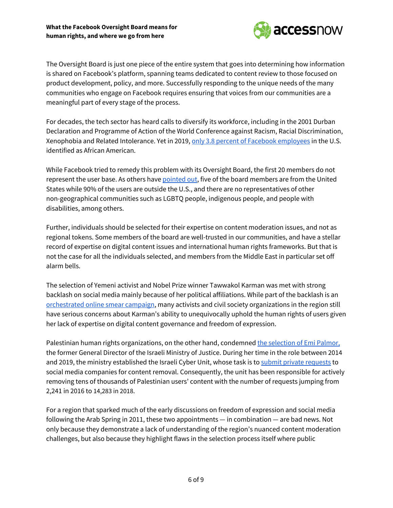

The Oversight Board is just one piece of the entire system that goes into determining how information is shared on Facebook's platform, spanning teams dedicated to content review to those focused on product development, policy, and more. Successfully responding to the unique needs of the many communities who engage on Facebook requires ensuring that voices from our communities are a meaningful part of every stage of the process.

For decades, the tech sector has heard calls to diversify its workforce, including in the 2001 Durban Declaration and Programme of Action of the World Conference against Racism, Racial Discrimination, Xenophobia and Related Intolerance. Yet in 2019, only 3.8 percent of Facebook [employees](https://diversity.fb.com/read-report/) in the U.S. identified as African American.

While Facebook tried to remedy this problem with its Oversight Board, the first 20 members do not represent the user base. As others have [pointed](https://www.justsecurity.org/70234/facebooks-oversight-board-a-meaningful-turn-towards-international-human-rights-standards/) out, five of the board members are from the United States while 90% of the users are outside the U.S., and there are no representatives of other non-geographical communities such as LGBTQ people, indigenous people, and people with disabilities, among others.

Further, individuals should be selected for their expertise on content moderation issues, and not as regional tokens. Some members of the board are well-trusted in our communities, and have a stellar record of expertise on digital content issues and international human rights frameworks. But that is not the case for all the individuals selected, and members from the Middle East in particular set off alarm bells.

The selection of Yemeni activist and Nobel Prize winner Tawwakol Karman was met with strong backlash on social media mainly because of her political affiliations. While part of the backlash is an [orchestrated](https://www.dw.com/en/yemen-nobel-peace-prize-winner-smeared-in-online-campaign/a-53427857?maca=en-Twitter-sharing) online smear campaign, many activists and civil society organizations in the region still have serious concerns about Karman's ability to unequivocally uphold the human rights of users given her lack of expertise on digital content governance and freedom of expression.

Palestinian human rights organizations, on the other hand, condemned the [selection](https://7amleh.org/2020/05/14/palestinian-civil-society-organizations-issue-a-statement-of-alarm-over-the-selection-of-emi-palmor-former-general-director-of-the-israeli-ministry-of-justice-to-facebook-s-oversight-board) of Emi Palmor, the former General Director of the Israeli Ministry of Justice. During her time in the role between 2014 and 2019, the ministry established the Israeli Cyber Unit, whose task is to submit private [requests](https://www.adalah.org/en/content/view/9859) to social media companies for content removal. Consequently, the unit has been responsible for actively removing tens of thousands of Palestinian users' content with the number of requests jumping from 2,241 in 2016 to 14,283 in 2018.

For a region that sparked much of the early discussions on freedom of expression and social media following the Arab Spring in 2011, these two appointments — in combination — are bad news. Not only because they demonstrate a lack of understanding of the region's nuanced content moderation challenges, but also because they highlight flaws in the selection process itself where public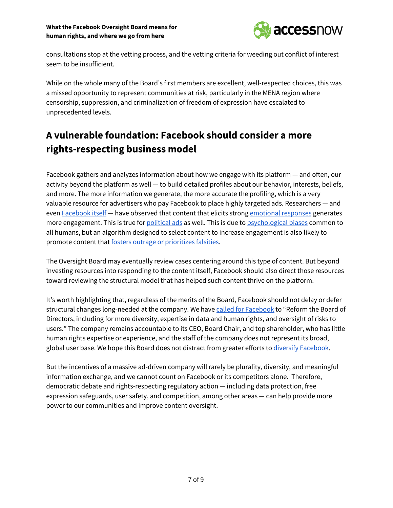#### **What the Facebook Oversight Board means for human rights, and where we go from here**



consultations stop at the vetting process, and the vetting criteria for weeding out conflict of interest seem to be insufficient.

While on the whole many of the Board's first members are excellent, well-respected choices, this was a missed opportunity to represent communities at risk, particularly in the MENA region where censorship, suppression, and criminalization of freedom of expression have escalated to unprecedented levels.

## <span id="page-7-0"></span>**A vulnerable foundation: Facebook should consider a more rights-respecting business model**

Facebook gathers and analyzes information about how we engage with its platform — and often, our activity beyond the platform as well — to build detailed profiles about our behavior, interests, beliefs, and more. The more information we generate, the more accurate the profiling, which is a very valuable resource for advertisers who pay Facebook to place highly targeted ads. Researchers — and even [Facebook](https://www.facebook.com/notes/mark-zuckerberg/a-blueprint-for-content-governance-and-enforcement/10156443129621634/) itself — have observed that content that elicits strong [emotional](https://journals.sagepub.com/doi/full/10.1509/jmr.10.0353?casa_token=4sBWN4kjwTcAAAAA%3AKAq2inON_Gfsnc-J4tgauFizo1mQ_rXbfWxXnKZpzzY0rAmVUf7_IXrfLMP30Ah8xBCzaD65wTKX_Q) responses generates more engagement. This is true for [political](https://journals.sagepub.com/doi/10.1177/1065912912449697?icid=int.sj-challenge-page.similar-articles.3) ads as well. This is due to [psychological](https://www.psychologytoday.com/us/articles/200306/our-brains-negative-bias) biases common to all humans, but an algorithm designed to select content to increase engagement is also likely to promote content that fosters outrage or [prioritizes](https://techcrunch.com/2019/10/20/facebook-isnt-free-speech-its-algorithmic-amplification-optimized-for-outrage/) falsities.

The Oversight Board may eventually review cases centering around this type of content. But beyond investing resources into responding to the content itself, Facebook should also direct those resources toward reviewing the structural model that has helped such content thrive on the platform.

It's worth highlighting that, regardless of the merits of the Board, Facebook should not delay or defer structural changes long-needed at the company. We have called for [Facebook](https://www.accessnow.org/access-now-calls-for-global-independent-audit-of-facebook-data-practices/) to "Reform the Board of Directors, including for more diversity, expertise in data and human rights, and oversight of risks to users." The company remains accountable to its CEO, Board Chair, and top shareholder, who has little human rights expertise or experience, and the staff of the company does not represent its broad, global user base. We hope this Board does not distract from greater efforts to diversify [Facebook](https://www.cnbc.com/2020/01/30/facebook-has-a-diversity-problem.html).

But the incentives of a massive ad-driven company will rarely be plurality, diversity, and meaningful information exchange, and we cannot count on Facebook or its competitors alone. Therefore, democratic debate and rights-respecting regulatory action — including data protection, free expression safeguards, user safety, and competition, among other areas — can help provide more power to our communities and improve content oversight.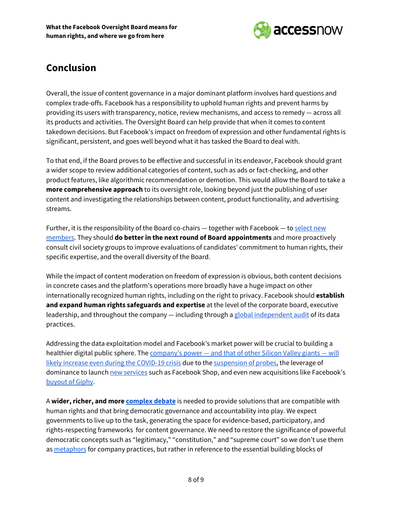

#### <span id="page-8-0"></span>**Conclusion**

Overall, the issue of content governance in a major dominant platform involves hard questions and complex trade-offs. Facebook has a responsibility to uphold human rights and prevent harms by providing its users with transparency, notice, review mechanisms, and access to remedy — across all its products and activities. The Oversight Board can help provide that when it comes to content takedown decisions. But Facebook's impact on freedom of expression and other fundamental rights is significant, persistent, and goes well beyond what it has tasked the Board to deal with.

To that end, if the Board proves to be effective and successful in its endeavor, Facebook should grant a wider scope to review additional categories of content, such as ads or fact-checking, and other product features, like algorithmic recommendation or demotion. This would allow the Board to take a **more comprehensive approach** to its oversight role, looking beyond just the publishing of user content and investigating the relationships between content, product functionality, and advertising streams.

Further, it is the responsibility of the Board co-chairs - together with Facebook - to [select](https://www.oversightboard.com/governance/) new [members.](https://www.oversightboard.com/governance/) They should **do better in the next round of Board appointments** and more proactively consult civil society groups to improve evaluations of candidates' commitment to human rights, their specific expertise, and the overall diversity of the Board.

While the impact of content moderation on freedom of expression is obvious, both content decisions in concrete cases and the platform's operations more broadly have a huge impact on other internationally recognized human rights, including on the right to privacy. Facebook should **establish and expand human rights safeguards and expertise** at the level of the corporate board, executive leadership, and throughout the company — including through a global [independent](https://www.accessnow.org/access-now-calls-for-global-independent-audit-of-facebook-data-practices/) audit of its data practices.

Addressing the data exploitation model and Facebook's market power will be crucial to building a healthier digital public sphere. The [company's](https://www.nytimes.com/2020/05/01/opinion/tech-companies-coronavirus.html) power — and that of other Silicon Valley giants — will likely increase even during the [COVID-19](https://www.nytimes.com/2020/05/01/opinion/tech-companies-coronavirus.html) crisis due to the [suspension](https://www.washingtonpost.com/technology/2020/04/27/big-tech-coronavirus-winners/) of probes, the leverage of dominance to launch new [services](https://techcrunch.com/2020/05/14/facebooks-social-zoom-competitor-messenger-rooms-goes-live-globally/) such as Facebook Shop, and even new acquisitions like Facebook's [buyout](https://www.theverge.com/interface/2020/5/19/21262451/facebook-giphy-acquisition-gif-instagram-whatsapp) of Giphy.

A **wider, richer, and more [complex](https://www.accessnow.org/guide-how-to-protect-human-rights-in-content-governance/) debate** is needed to provide solutions that are compatible with human rights and that bring democratic governance and accountability into play. We expect governments to live up to the task, generating the space for evidence-based, participatory, and rights-respecting frameworks for content governance. We need to restore the significance of powerful democratic concepts such as "legitimacy," "constitution," and "supreme court" so we don't use them as [metaphors](https://www.theatlantic.com/ideas/archive/2019/09/facebook-restricts-free-speech-popular-demand/598462/) for company practices, but rather in reference to the essential building blocks of